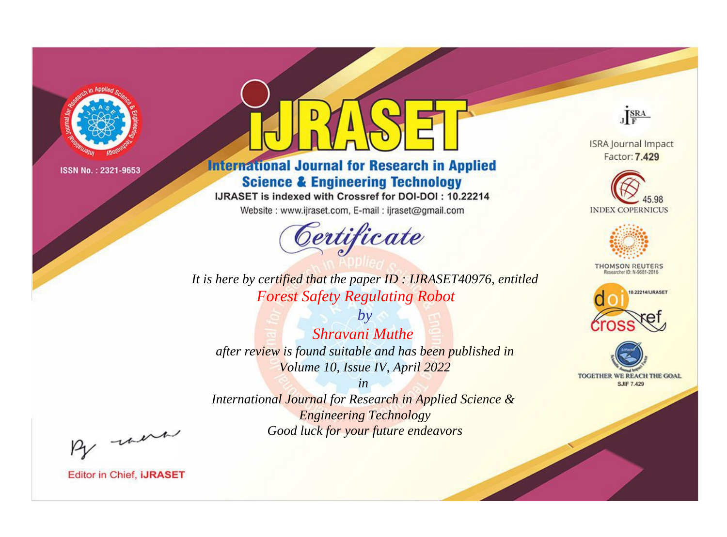

# **International Journal for Research in Applied Science & Engineering Technology**

IJRASET is indexed with Crossref for DOI-DOI: 10.22214

Website: www.ijraset.com, E-mail: ijraset@gmail.com



JERA **ISRA Journal Impact** 

Factor: 7.429





**THOMSON REUTERS** 



TOGETHER WE REACH THE GOAL **SJIF 7.429** 

*It is here by certified that the paper ID : IJRASET40976, entitled Forest Safety Regulating Robot*

*by Shravani Muthe after review is found suitable and has been published in Volume 10, Issue IV, April 2022*

*in* 

*International Journal for Research in Applied Science & Engineering Technology Good luck for your future endeavors*

By morn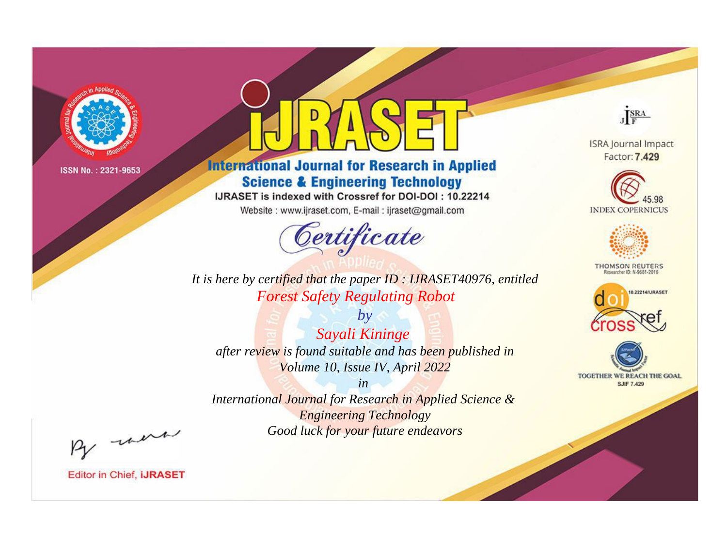

# **International Journal for Research in Applied Science & Engineering Technology**

IJRASET is indexed with Crossref for DOI-DOI: 10.22214

Website: www.ijraset.com, E-mail: ijraset@gmail.com



**ISRA Journal Impact** Factor: 7.429

JERA





**THOMSON REUTERS** 



TOGETHER WE REACH THE GOAL **SJIF 7.429** 

It is here by certified that the paper ID: IJRASET40976, entitled **Forest Safety Regulating Robot** 

 $b\nu$ Sayali Kininge after review is found suitable and has been published in Volume 10, Issue IV, April 2022

 $in$ International Journal for Research in Applied Science & **Engineering Technology** Good luck for your future endeavors

By morn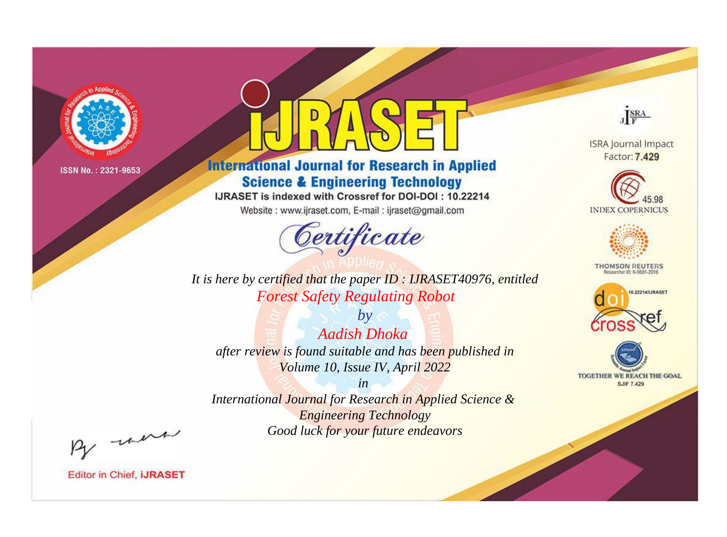

# **International Journal for Research in Applied Science & Engineering Technology**

IJRASET is indexed with Crossref for DOI-DOI: 10.22214

Website: www.ijraset.com, E-mail: ijraset@gmail.com



**ISRA Journal Impact** Factor: 7.429

JERA





**THOMSON REUTERS** 



TOGETHER WE REACH THE GOAL **SJIF 7.429** 

*It is here by certified that the paper ID : IJRASET40976, entitled Forest Safety Regulating Robot*

*by Aadish Dhoka after review is found suitable and has been published in Volume 10, Issue IV, April 2022*

*in* 

*International Journal for Research in Applied Science & Engineering Technology Good luck for your future endeavors*

By morn